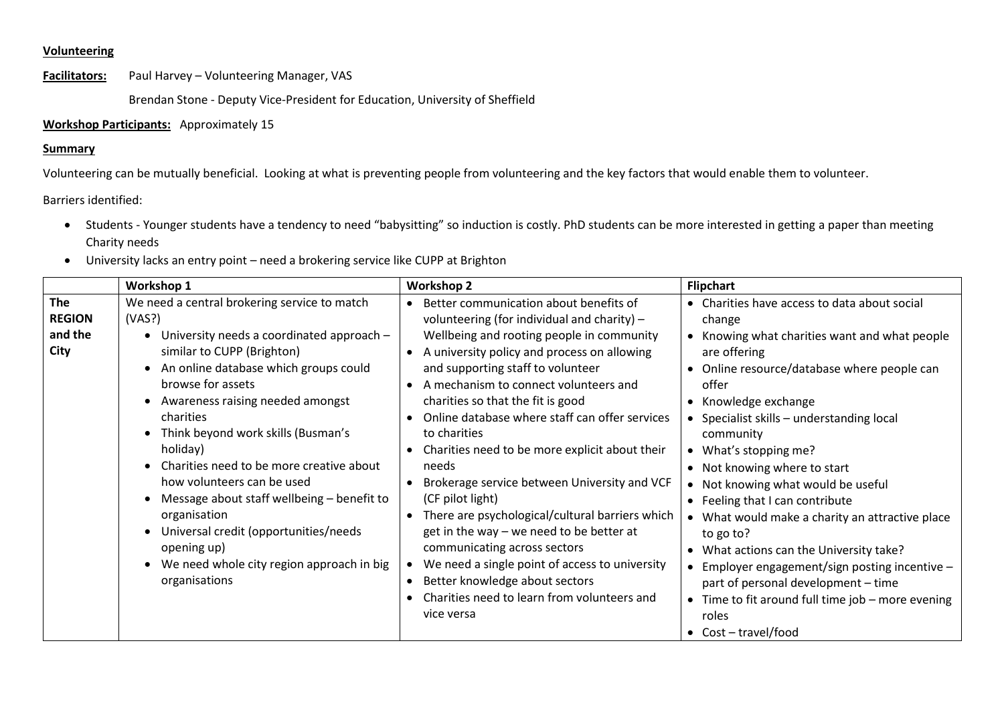## **Volunteering**

**Facilitators:** Paul Harvey – Volunteering Manager, VAS

Brendan Stone - Deputy Vice-President for Education, University of Sheffield

## **Workshop Participants:** Approximately 15

## **Summary**

Volunteering can be mutually beneficial. Looking at what is preventing people from volunteering and the key factors that would enable them to volunteer.

Barriers identified:

- Students Younger students have a tendency to need "babysitting" so induction is costly. PhD students can be more interested in getting a paper than meeting Charity needs
- University lacks an entry point need a brokering service like CUPP at Brighton

|                                                | Workshop 1                                                                                                                                                                                                                                                                                                                                                                                                                                                                                                                                                       | <b>Workshop 2</b>                                                                                                                                                                                                                                                                                                                                                                                                                                                                                                                                                                                                                                                                                                                                                                                      | <b>Flipchart</b>                                                                                                                                                                                                                                                                                                                                                                                                                                                                                                                                                                                                                                                                                      |
|------------------------------------------------|------------------------------------------------------------------------------------------------------------------------------------------------------------------------------------------------------------------------------------------------------------------------------------------------------------------------------------------------------------------------------------------------------------------------------------------------------------------------------------------------------------------------------------------------------------------|--------------------------------------------------------------------------------------------------------------------------------------------------------------------------------------------------------------------------------------------------------------------------------------------------------------------------------------------------------------------------------------------------------------------------------------------------------------------------------------------------------------------------------------------------------------------------------------------------------------------------------------------------------------------------------------------------------------------------------------------------------------------------------------------------------|-------------------------------------------------------------------------------------------------------------------------------------------------------------------------------------------------------------------------------------------------------------------------------------------------------------------------------------------------------------------------------------------------------------------------------------------------------------------------------------------------------------------------------------------------------------------------------------------------------------------------------------------------------------------------------------------------------|
| <b>The</b><br><b>REGION</b><br>and the<br>City | We need a central brokering service to match<br>(VAS?)<br>University needs a coordinated approach -<br>similar to CUPP (Brighton)<br>An online database which groups could<br>browse for assets<br>Awareness raising needed amongst<br>charities<br>Think beyond work skills (Busman's<br>holiday)<br>Charities need to be more creative about<br>how volunteers can be used<br>Message about staff wellbeing - benefit to<br>organisation<br>Universal credit (opportunities/needs<br>opening up)<br>We need whole city region approach in big<br>organisations | Better communication about benefits of<br>volunteering (for individual and charity) $-$<br>Wellbeing and rooting people in community<br>A university policy and process on allowing<br>and supporting staff to volunteer<br>A mechanism to connect volunteers and<br>$\bullet$<br>charities so that the fit is good<br>Online database where staff can offer services<br>to charities<br>Charities need to be more explicit about their<br>needs<br>Brokerage service between University and VCF<br>(CF pilot light)<br>There are psychological/cultural barriers which<br>get in the way $-$ we need to be better at<br>communicating across sectors<br>We need a single point of access to university<br>Better knowledge about sectors<br>Charities need to learn from volunteers and<br>vice versa | • Charities have access to data about social<br>change<br>• Knowing what charities want and what people<br>are offering<br>• Online resource/database where people can<br>offer<br>• Knowledge exchange<br>• Specialist skills - understanding local<br>community<br>• What's stopping me?<br>• Not knowing where to start<br>• Not knowing what would be useful<br>• Feeling that I can contribute<br>• What would make a charity an attractive place<br>to go to?<br>• What actions can the University take?<br>• Employer engagement/sign posting incentive -<br>part of personal development - time<br>• Time to fit around full time job - more evening<br>roles<br>$\bullet$ Cost - travel/food |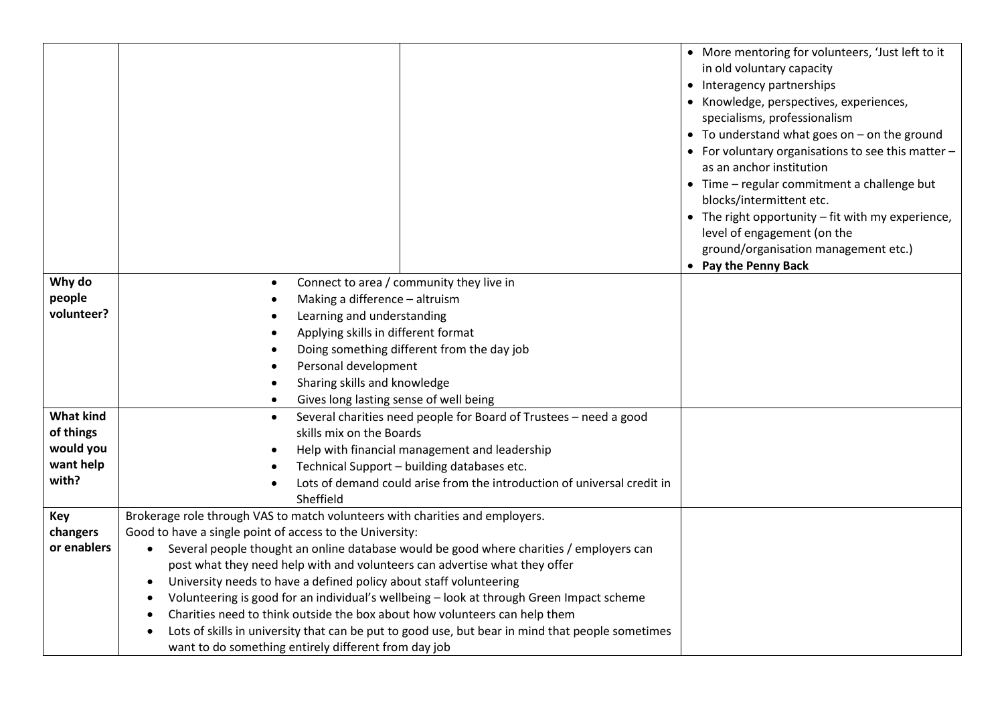|                  |                                                                                                                                                                             | • More mentoring for volunteers, 'Just left to it<br>in old voluntary capacity<br>• Interagency partnerships<br>• Knowledge, perspectives, experiences,<br>specialisms, professionalism<br>$\bullet$ To understand what goes on $-$ on the ground<br>• For voluntary organisations to see this matter -<br>as an anchor institution<br>• Time - regular commitment a challenge but<br>blocks/intermittent etc.<br>• The right opportunity – fit with my experience,<br>level of engagement (on the<br>ground/organisation management etc.)<br>• Pay the Penny Back |
|------------------|-----------------------------------------------------------------------------------------------------------------------------------------------------------------------------|--------------------------------------------------------------------------------------------------------------------------------------------------------------------------------------------------------------------------------------------------------------------------------------------------------------------------------------------------------------------------------------------------------------------------------------------------------------------------------------------------------------------------------------------------------------------|
| Why do           | Connect to area / community they live in<br>$\bullet$                                                                                                                       |                                                                                                                                                                                                                                                                                                                                                                                                                                                                                                                                                                    |
| people           | Making a difference - altruism                                                                                                                                              |                                                                                                                                                                                                                                                                                                                                                                                                                                                                                                                                                                    |
| volunteer?       | Learning and understanding                                                                                                                                                  |                                                                                                                                                                                                                                                                                                                                                                                                                                                                                                                                                                    |
|                  | Applying skills in different format                                                                                                                                         |                                                                                                                                                                                                                                                                                                                                                                                                                                                                                                                                                                    |
|                  | Doing something different from the day job                                                                                                                                  |                                                                                                                                                                                                                                                                                                                                                                                                                                                                                                                                                                    |
|                  | Personal development<br>Sharing skills and knowledge                                                                                                                        |                                                                                                                                                                                                                                                                                                                                                                                                                                                                                                                                                                    |
|                  | Gives long lasting sense of well being                                                                                                                                      |                                                                                                                                                                                                                                                                                                                                                                                                                                                                                                                                                                    |
| <b>What kind</b> | Several charities need people for Board of Trustees - need a good<br>$\bullet$                                                                                              |                                                                                                                                                                                                                                                                                                                                                                                                                                                                                                                                                                    |
| of things        | skills mix on the Boards                                                                                                                                                    |                                                                                                                                                                                                                                                                                                                                                                                                                                                                                                                                                                    |
| would you        | Help with financial management and leadership                                                                                                                               |                                                                                                                                                                                                                                                                                                                                                                                                                                                                                                                                                                    |
| want help        | Technical Support - building databases etc.                                                                                                                                 |                                                                                                                                                                                                                                                                                                                                                                                                                                                                                                                                                                    |
| with?            | Lots of demand could arise from the introduction of universal credit in                                                                                                     |                                                                                                                                                                                                                                                                                                                                                                                                                                                                                                                                                                    |
|                  | Sheffield                                                                                                                                                                   |                                                                                                                                                                                                                                                                                                                                                                                                                                                                                                                                                                    |
| Key              | Brokerage role through VAS to match volunteers with charities and employers.                                                                                                |                                                                                                                                                                                                                                                                                                                                                                                                                                                                                                                                                                    |
| changers         | Good to have a single point of access to the University:                                                                                                                    |                                                                                                                                                                                                                                                                                                                                                                                                                                                                                                                                                                    |
| or enablers      | Several people thought an online database would be good where charities / employers can<br>$\bullet$                                                                        |                                                                                                                                                                                                                                                                                                                                                                                                                                                                                                                                                                    |
|                  | post what they need help with and volunteers can advertise what they offer                                                                                                  |                                                                                                                                                                                                                                                                                                                                                                                                                                                                                                                                                                    |
|                  | University needs to have a defined policy about staff volunteering<br>$\bullet$<br>Volunteering is good for an individual's wellbeing - look at through Green Impact scheme |                                                                                                                                                                                                                                                                                                                                                                                                                                                                                                                                                                    |
|                  | Charities need to think outside the box about how volunteers can help them                                                                                                  |                                                                                                                                                                                                                                                                                                                                                                                                                                                                                                                                                                    |
|                  | Lots of skills in university that can be put to good use, but bear in mind that people sometimes                                                                            |                                                                                                                                                                                                                                                                                                                                                                                                                                                                                                                                                                    |
|                  | want to do something entirely different from day job                                                                                                                        |                                                                                                                                                                                                                                                                                                                                                                                                                                                                                                                                                                    |